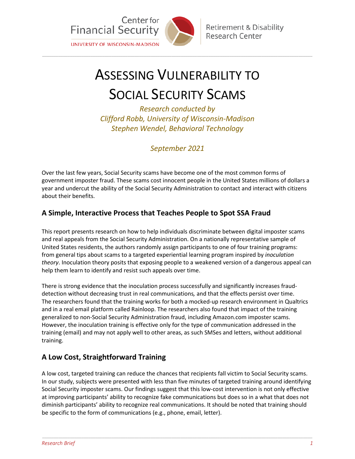

# ASSESSING VULNERABILITY TO

\_\_\_\_\_\_\_\_\_\_\_\_\_\_\_\_\_\_\_\_\_\_\_\_\_\_\_\_\_\_\_\_\_\_\_\_\_\_\_\_\_\_\_\_\_\_\_\_\_\_\_\_\_\_\_\_\_\_\_\_\_\_\_\_\_\_\_\_\_\_\_\_\_\_\_\_\_\_\_\_\_\_\_\_\_\_\_\_\_\_\_\_\_\_\_\_\_\_\_\_\_\_\_\_\_\_\_\_\_\_\_\_\_\_\_\_\_

## SOCIAL SECURITY SCAMS

*Research conducted by Clifford Robb, University of Wisconsin-Madison Stephen Wendel, Behavioral Technology* 

*September 2021*

Over the last few years, Social Security scams have become one of the most common forms of government imposter fraud. These scams cost innocent people in the United States millions of dollars a year and undercut the ability of the Social Security Administration to contact and interact with citizens about their benefits.

#### **A Simple, Interactive Process that Teaches People to Spot SSA Fraud**

This report presents research on how to help individuals discriminate between digital imposter scams and real appeals from the Social Security Administration. On a nationally representative sample of United States residents, the authors randomly assign participants to one of four training programs: from general tips about scams to a targeted experiential learning program inspired by *inoculation theory*. Inoculation theory posits that exposing people to a weakened version of a dangerous appeal can help them learn to identify and resist such appeals over time.

There is strong evidence that the inoculation process successfully and significantly increases frauddetection without decreasing trust in real communications*,* and that the effects persist over time. The researchers found that the training works for both a mocked-up research environment in Qualtrics and in a real email platform called Rainloop. The researchers also found that impact of the training generalized to non-Social Security Administration fraud, including Amazon.com imposter scams. However, the inoculation training is effective only for the type of communication addressed in the training (email) and may not apply well to other areas, as such SMSes and letters, without additional training.

### **A Low Cost, Straightforward Training**

A low cost, targeted training can reduce the chances that recipients fall victim to Social Security scams. In our study, subjects were presented with less than five minutes of targeted training around identifying Social Security imposter scams. Our findings suggest that this low-cost intervention is not only effective at improving participants' ability to recognize fake communications but does so in a what that does not diminish participants' ability to recognize real communications. It should be noted that training should be specific to the form of communications (e.g., phone, email, letter).

\_\_\_\_\_\_\_\_\_\_\_\_\_\_\_\_\_\_\_\_\_\_\_\_\_\_\_\_\_\_\_\_\_\_\_\_\_\_\_\_\_\_\_\_\_\_\_\_\_\_\_\_\_\_\_\_\_\_\_\_\_\_\_\_\_\_\_\_\_\_\_\_\_\_\_\_\_\_\_\_\_\_\_\_\_\_\_\_\_\_\_\_\_\_\_\_\_\_\_\_\_\_\_\_\_\_\_\_\_\_\_\_\_\_\_\_\_